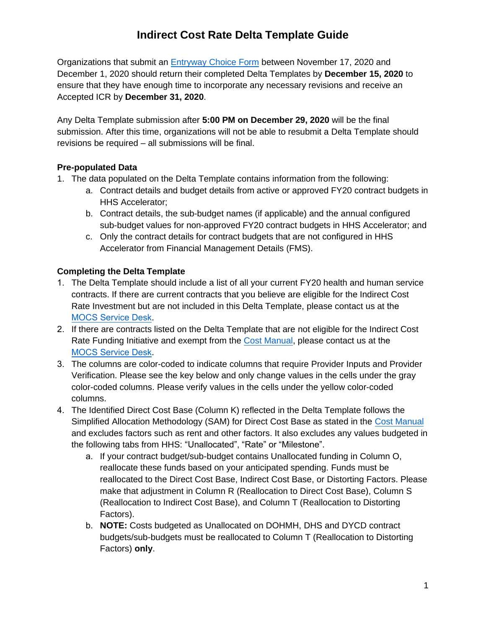Organizations that submit an Entryway [Choice Form](https://www1.nyc.gov/site/nonprofits/funded-providers/indirect-entryway-choice-form.page) between November 17, 2020 and December 1, 2020 should return their completed Delta Templates by **December 15, 2020** to ensure that they have enough time to incorporate any necessary revisions and receive an Accepted ICR by **December 31, 2020**.

Any Delta Template submission after **5:00 PM on December 29, 2020** will be the final submission. After this time, organizations will not be able to resubmit a Delta Template should revisions be required – all submissions will be final.

### **Pre-populated Data**

- 1. The data populated on the Delta Template contains information from the following:
	- a. Contract details and budget details from active or approved FY20 contract budgets in HHS Accelerator;
	- b. Contract details, the sub-budget names (if applicable) and the annual configured sub-budget values for non-approved FY20 contract budgets in HHS Accelerator; and
	- c. Only the contract details for contract budgets that are not configured in HHS Accelerator from Financial Management Details (FMS).

### **Completing the Delta Template**

- 1. The Delta Template should include a list of all your current FY20 health and human service contracts. If there are current contracts that you believe are eligible for the Indirect Cost Rate Investment but are not included in this Delta Template, please contact us at the [MOCS Service Desk](https://mocssupport.atlassian.net/servicedesk/customer/portal/8).
- 2. If there are contracts listed on the Delta Template that are not eligible for the Indirect Cost Rate Funding Initiative and exempt from the [Cost Manual,](https://www1.nyc.gov/assets/nonprofits/downloads/pdf/NYC%20HHS%20Cost%20Policies%20and%20Procedures%20Manual_8.25.20.pdf) please contact us at the [MOCS Service Desk](https://mocssupport.atlassian.net/servicedesk/customer/portal/8).
- 3. The columns are color-coded to indicate columns that require Provider Inputs and Provider Verification. Please see the key below and only change values in the cells under the gray color-coded columns. Please verify values in the cells under the yellow color-coded columns.
- 4. The Identified Direct Cost Base (Column K) reflected in the Delta Template follows the Simplified Allocation Methodology (SAM) for Direct Cost Base as stated in the [Cost Manual](https://www1.nyc.gov/assets/nonprofits/downloads/pdf/NYC%20HHS%20Cost%20Policies%20and%20Procedures%20Manual_8.25.20.pdf) and excludes factors such as rent and other factors. It also excludes any values budgeted in the following tabs from HHS: "Unallocated", "Rate" or "Milestone".
	- a. If your contract budget/sub-budget contains Unallocated funding in Column O, reallocate these funds based on your anticipated spending. Funds must be reallocated to the Direct Cost Base, Indirect Cost Base, or Distorting Factors. Please make that adjustment in Column R (Reallocation to Direct Cost Base), Column S (Reallocation to Indirect Cost Base), and Column T (Reallocation to Distorting Factors).
	- b. **NOTE:** Costs budgeted as Unallocated on DOHMH, DHS and DYCD contract budgets/sub-budgets must be reallocated to Column T (Reallocation to Distorting Factors) **only**.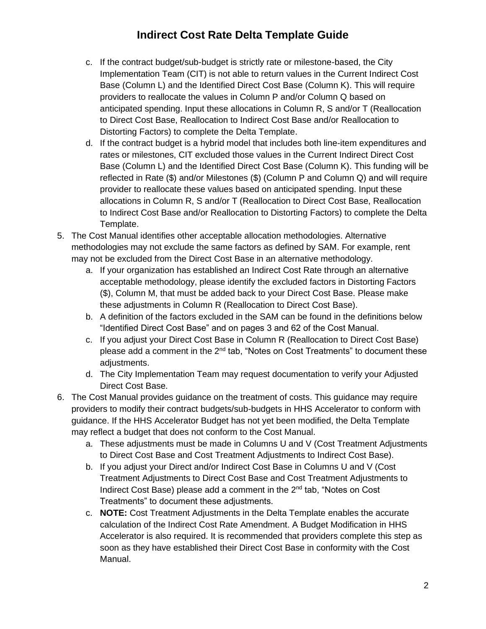- c. If the contract budget/sub-budget is strictly rate or milestone-based, the City Implementation Team (CIT) is not able to return values in the Current Indirect Cost Base (Column L) and the Identified Direct Cost Base (Column K). This will require providers to reallocate the values in Column P and/or Column Q based on anticipated spending. Input these allocations in Column R, S and/or T (Reallocation to Direct Cost Base, Reallocation to Indirect Cost Base and/or Reallocation to Distorting Factors) to complete the Delta Template.
- d. If the contract budget is a hybrid model that includes both line-item expenditures and rates or milestones, CIT excluded those values in the Current Indirect Direct Cost Base (Column L) and the Identified Direct Cost Base (Column K). This funding will be reflected in Rate (\$) and/or Milestones (\$) (Column P and Column Q) and will require provider to reallocate these values based on anticipated spending. Input these allocations in Column R, S and/or T (Reallocation to Direct Cost Base, Reallocation to Indirect Cost Base and/or Reallocation to Distorting Factors) to complete the Delta Template.
- 5. The Cost Manual identifies other acceptable allocation methodologies. Alternative methodologies may not exclude the same factors as defined by SAM. For example, rent may not be excluded from the Direct Cost Base in an alternative methodology.
	- a. If your organization has established an Indirect Cost Rate through an alternative acceptable methodology, please identify the excluded factors in Distorting Factors (\$), Column M, that must be added back to your Direct Cost Base. Please make these adjustments in Column R (Reallocation to Direct Cost Base).
	- b. A definition of the factors excluded in the SAM can be found in the definitions below "Identified Direct Cost Base" and on pages 3 and 62 of the Cost Manual.
	- c. If you adjust your Direct Cost Base in Column R (Reallocation to Direct Cost Base) please add a comment in the 2nd tab, "Notes on Cost Treatments" to document these adjustments.
	- d. The City Implementation Team may request documentation to verify your Adjusted Direct Cost Base.
- 6. The Cost Manual provides guidance on the treatment of costs. This guidance may require providers to modify their contract budgets/sub-budgets in HHS Accelerator to conform with guidance. If the HHS Accelerator Budget has not yet been modified, the Delta Template may reflect a budget that does not conform to the Cost Manual.
	- a. These adjustments must be made in Columns U and V (Cost Treatment Adjustments to Direct Cost Base and Cost Treatment Adjustments to Indirect Cost Base).
	- b. If you adjust your Direct and/or Indirect Cost Base in Columns U and V (Cost Treatment Adjustments to Direct Cost Base and Cost Treatment Adjustments to Indirect Cost Base) please add a comment in the 2<sup>nd</sup> tab, "Notes on Cost Treatments" to document these adjustments.
	- c. **NOTE:** Cost Treatment Adjustments in the Delta Template enables the accurate calculation of the Indirect Cost Rate Amendment. A Budget Modification in HHS Accelerator is also required. It is recommended that providers complete this step as soon as they have established their Direct Cost Base in conformity with the Cost Manual.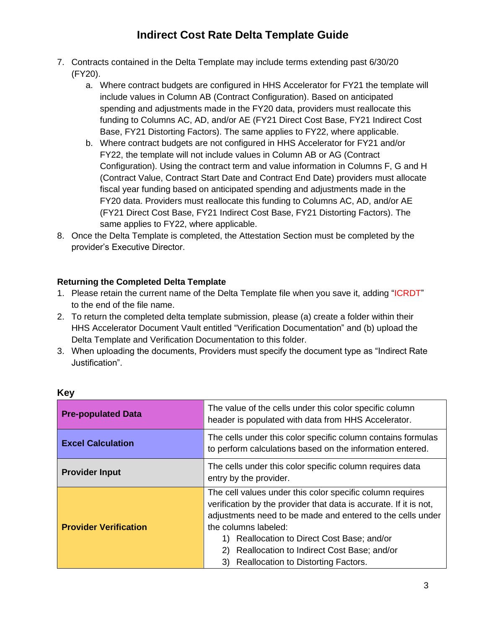- 7. Contracts contained in the Delta Template may include terms extending past 6/30/20 (FY20).
	- a. Where contract budgets are configured in HHS Accelerator for FY21 the template will include values in Column AB (Contract Configuration). Based on anticipated spending and adjustments made in the FY20 data, providers must reallocate this funding to Columns AC, AD, and/or AE (FY21 Direct Cost Base, FY21 Indirect Cost Base, FY21 Distorting Factors). The same applies to FY22, where applicable.
	- b. Where contract budgets are not configured in HHS Accelerator for FY21 and/or FY22, the template will not include values in Column AB or AG (Contract Configuration). Using the contract term and value information in Columns F, G and H (Contract Value, Contract Start Date and Contract End Date) providers must allocate fiscal year funding based on anticipated spending and adjustments made in the FY20 data. Providers must reallocate this funding to Columns AC, AD, and/or AE (FY21 Direct Cost Base, FY21 Indirect Cost Base, FY21 Distorting Factors). The same applies to FY22, where applicable.
- 8. Once the Delta Template is completed, the Attestation Section must be completed by the provider's Executive Director.

### **Returning the Completed Delta Template**

- 1. Please retain the current name of the Delta Template file when you save it, adding "ICRDT" to the end of the file name.
- 2. To return the completed delta template submission, please (a) create a folder within their HHS Accelerator Document Vault entitled "Verification Documentation" and (b) upload the Delta Template and Verification Documentation to this folder.
- 3. When uploading the documents, Providers must specify the document type as "Indirect Rate Justification".

| <b>Pre-populated Data</b>    | The value of the cells under this color specific column<br>header is populated with data from HHS Accelerator.                                                                                                                                                                                                                                                                  |
|------------------------------|---------------------------------------------------------------------------------------------------------------------------------------------------------------------------------------------------------------------------------------------------------------------------------------------------------------------------------------------------------------------------------|
| <b>Excel Calculation</b>     | The cells under this color specific column contains formulas<br>to perform calculations based on the information entered.                                                                                                                                                                                                                                                       |
| <b>Provider Input</b>        | The cells under this color specific column requires data<br>entry by the provider.                                                                                                                                                                                                                                                                                              |
| <b>Provider Verification</b> | The cell values under this color specific column requires<br>verification by the provider that data is accurate. If it is not,<br>adjustments need to be made and entered to the cells under<br>the columns labeled:<br>Reallocation to Direct Cost Base; and/or<br>1).<br>Reallocation to Indirect Cost Base; and/or<br>2)<br><b>Reallocation to Distorting Factors.</b><br>3) |

#### **Key**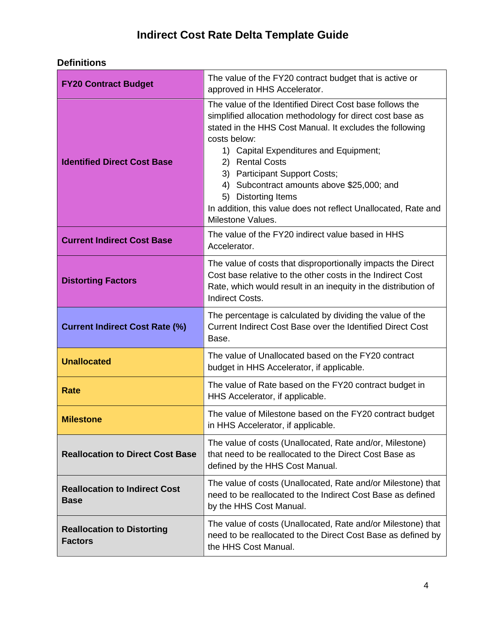## **Definitions**

| <b>FY20 Contract Budget</b>                         | The value of the FY20 contract budget that is active or<br>approved in HHS Accelerator.                                                                                                                                                                                                                                                                                                                                                                     |
|-----------------------------------------------------|-------------------------------------------------------------------------------------------------------------------------------------------------------------------------------------------------------------------------------------------------------------------------------------------------------------------------------------------------------------------------------------------------------------------------------------------------------------|
| <b>Identified Direct Cost Base</b>                  | The value of the Identified Direct Cost base follows the<br>simplified allocation methodology for direct cost base as<br>stated in the HHS Cost Manual. It excludes the following<br>costs below:<br>1) Capital Expenditures and Equipment;<br>2) Rental Costs<br>3) Participant Support Costs;<br>4) Subcontract amounts above \$25,000; and<br>5) Distorting Items<br>In addition, this value does not reflect Unallocated, Rate and<br>Milestone Values. |
| <b>Current Indirect Cost Base</b>                   | The value of the FY20 indirect value based in HHS<br>Accelerator.                                                                                                                                                                                                                                                                                                                                                                                           |
| <b>Distorting Factors</b>                           | The value of costs that disproportionally impacts the Direct<br>Cost base relative to the other costs in the Indirect Cost<br>Rate, which would result in an inequity in the distribution of<br><b>Indirect Costs.</b>                                                                                                                                                                                                                                      |
| <b>Current Indirect Cost Rate (%)</b>               | The percentage is calculated by dividing the value of the<br>Current Indirect Cost Base over the Identified Direct Cost<br>Base.                                                                                                                                                                                                                                                                                                                            |
| <b>Unallocated</b>                                  | The value of Unallocated based on the FY20 contract<br>budget in HHS Accelerator, if applicable.                                                                                                                                                                                                                                                                                                                                                            |
| <b>Rate</b>                                         | The value of Rate based on the FY20 contract budget in<br>HHS Accelerator, if applicable.                                                                                                                                                                                                                                                                                                                                                                   |
| <b>Milestone</b>                                    | The value of Milestone based on the FY20 contract budget<br>in HHS Accelerator, if applicable.                                                                                                                                                                                                                                                                                                                                                              |
| <b>Reallocation to Direct Cost Base</b>             | The value of costs (Unallocated, Rate and/or, Milestone)<br>that need to be reallocated to the Direct Cost Base as<br>defined by the HHS Cost Manual.                                                                                                                                                                                                                                                                                                       |
| <b>Reallocation to Indirect Cost</b><br><b>Base</b> | The value of costs (Unallocated, Rate and/or Milestone) that<br>need to be reallocated to the Indirect Cost Base as defined<br>by the HHS Cost Manual.                                                                                                                                                                                                                                                                                                      |
| <b>Reallocation to Distorting</b><br><b>Factors</b> | The value of costs (Unallocated, Rate and/or Milestone) that<br>need to be reallocated to the Direct Cost Base as defined by<br>the HHS Cost Manual.                                                                                                                                                                                                                                                                                                        |